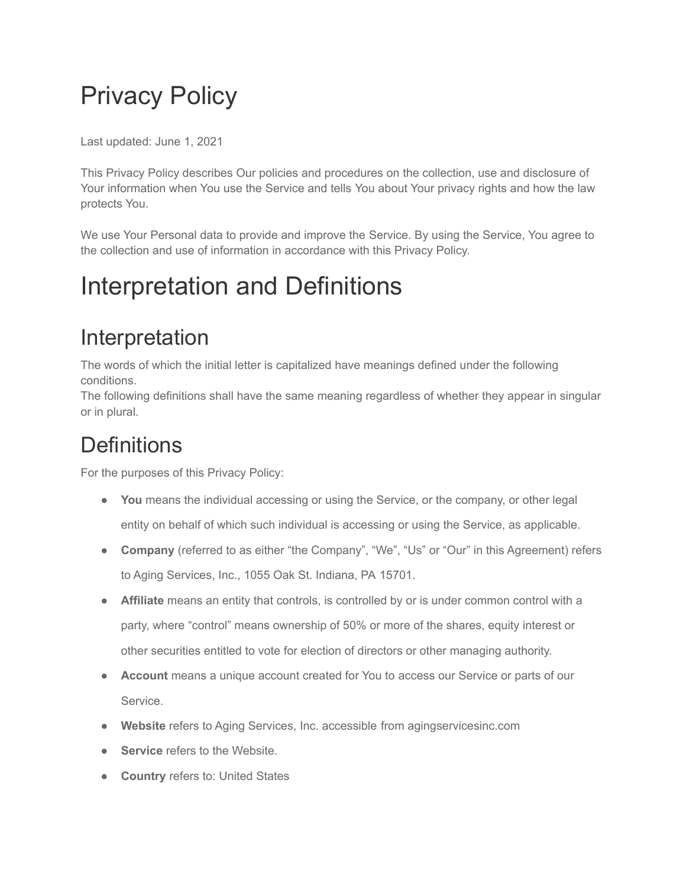# Privacy Policy

Last updated: June 1, 2021

This Privacy Policy describes Our policies and procedures on the collection, use and disclosure of Your information when You use the Service and tells You about Your privacy rights and how the law protects You.

We use Your Personal data to provide and improve the Service. By using the Service, You agree to the collection and use of information in accordance with this Privacy Policy.

## Interpretation and Definitions

### Interpretation

The words of which the initial letter is capitalized have meanings defined under the following conditions.

The following definitions shall have the same meaning regardless of whether they appear in singular or in plural.

## **Definitions**

For the purposes of this Privacy Policy:

- **You** means the individual accessing or using the Service, or the company, or other legal entity on behalf of which such individual is accessing or using the Service, as applicable.
- **Company** (referred to as either "the Company", "We", "Us" or "Our" in this Agreement) refers to Aging Services, Inc., 1055 Oak St. Indiana, PA 15701.
- **Affiliate** means an entity that controls, is controlled by or is under common control with a party, where "control" means ownership of 50% or more of the shares, equity interest or other securities entitled to vote for election of directors or other managing authority.
- **Account** means a unique account created for You to access our Service or parts of our Service.
- **Website** refers to Aging Services, Inc. accessible from agingservicesinc.com
- **Service** refers to the Website.
- **Country** refers to: United States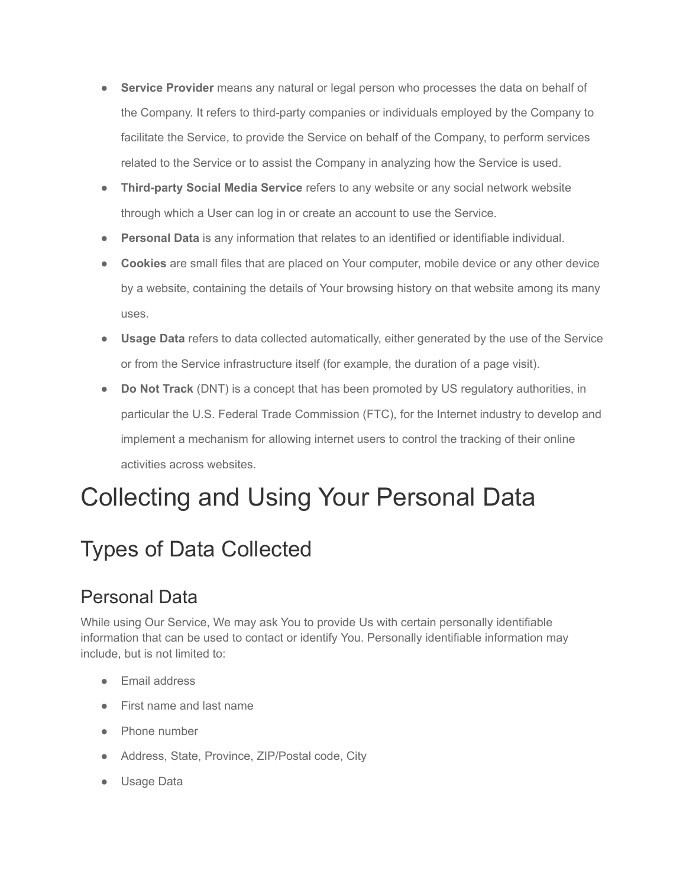- **Service Provider** means any natural or legal person who processes the data on behalf of the Company. It refers to third-party companies or individuals employed by the Company to facilitate the Service, to provide the Service on behalf of the Company, to perform services related to the Service or to assist the Company in analyzing how the Service is used.
- **Third-party Social Media Service** refers to any website or any social network website through which a User can log in or create an account to use the Service.
- **Personal Data** is any information that relates to an identified or identifiable individual.
- **Cookies** are small files that are placed on Your computer, mobile device or any other device by a website, containing the details of Your browsing history on that website among its many uses.
- **Usage Data** refers to data collected automatically, either generated by the use of the Service or from the Service infrastructure itself (for example, the duration of a page visit).
- **Do Not Track** (DNT) is a concept that has been promoted by US regulatory authorities, in particular the U.S. Federal Trade Commission (FTC), for the Internet industry to develop and implement a mechanism for allowing internet users to control the tracking of their online activities across websites.

# Collecting and Using Your Personal Data

## Types of Data Collected

#### Personal Data

While using Our Service, We may ask You to provide Us with certain personally identifiable information that can be used to contact or identify You. Personally identifiable information may include, but is not limited to:

- Email address
- First name and last name
- Phone number
- Address, State, Province, ZIP/Postal code, City
- Usage Data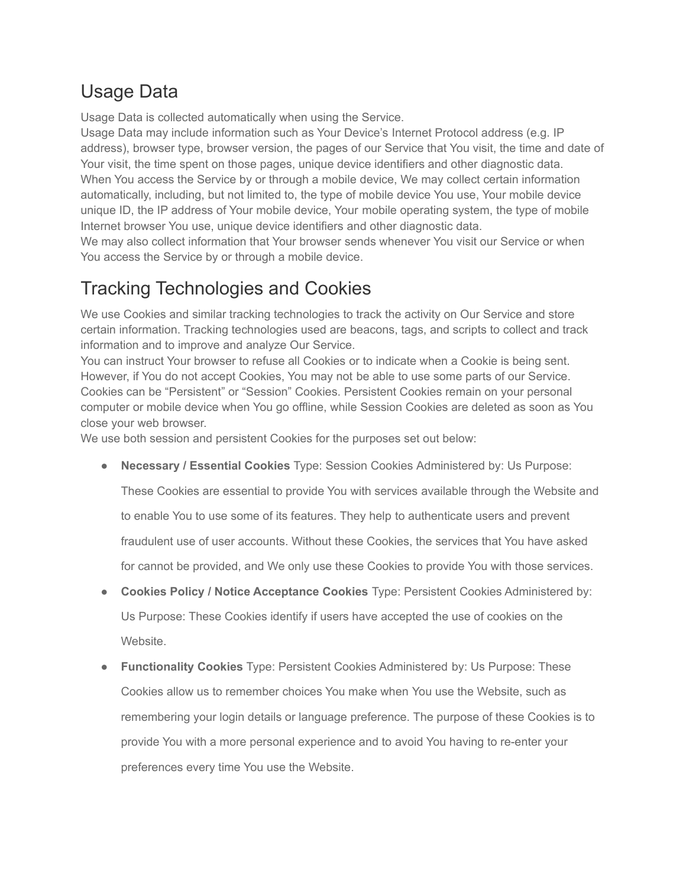#### Usage Data

Usage Data is collected automatically when using the Service.

Usage Data may include information such as Your Device's Internet Protocol address (e.g. IP address), browser type, browser version, the pages of our Service that You visit, the time and date of Your visit, the time spent on those pages, unique device identifiers and other diagnostic data. When You access the Service by or through a mobile device, We may collect certain information automatically, including, but not limited to, the type of mobile device You use, Your mobile device unique ID, the IP address of Your mobile device, Your mobile operating system, the type of mobile Internet browser You use, unique device identifiers and other diagnostic data.

We may also collect information that Your browser sends whenever You visit our Service or when You access the Service by or through a mobile device.

#### Tracking Technologies and Cookies

We use Cookies and similar tracking technologies to track the activity on Our Service and store certain information. Tracking technologies used are beacons, tags, and scripts to collect and track information and to improve and analyze Our Service.

You can instruct Your browser to refuse all Cookies or to indicate when a Cookie is being sent. However, if You do not accept Cookies, You may not be able to use some parts of our Service. Cookies can be "Persistent" or "Session" Cookies. Persistent Cookies remain on your personal computer or mobile device when You go offline, while Session Cookies are deleted as soon as You close your web browser.

We use both session and persistent Cookies for the purposes set out below:

● **Necessary / Essential Cookies** Type: Session Cookies Administered by: Us Purpose:

These Cookies are essential to provide You with services available through the Website and

to enable You to use some of its features. They help to authenticate users and prevent

fraudulent use of user accounts. Without these Cookies, the services that You have asked

for cannot be provided, and We only use these Cookies to provide You with those services.

- **Cookies Policy / Notice Acceptance Cookies** Type: Persistent Cookies Administered by: Us Purpose: These Cookies identify if users have accepted the use of cookies on the Website.
- **Functionality Cookies** Type: Persistent Cookies Administered by: Us Purpose: These Cookies allow us to remember choices You make when You use the Website, such as remembering your login details or language preference. The purpose of these Cookies is to provide You with a more personal experience and to avoid You having to re-enter your preferences every time You use the Website.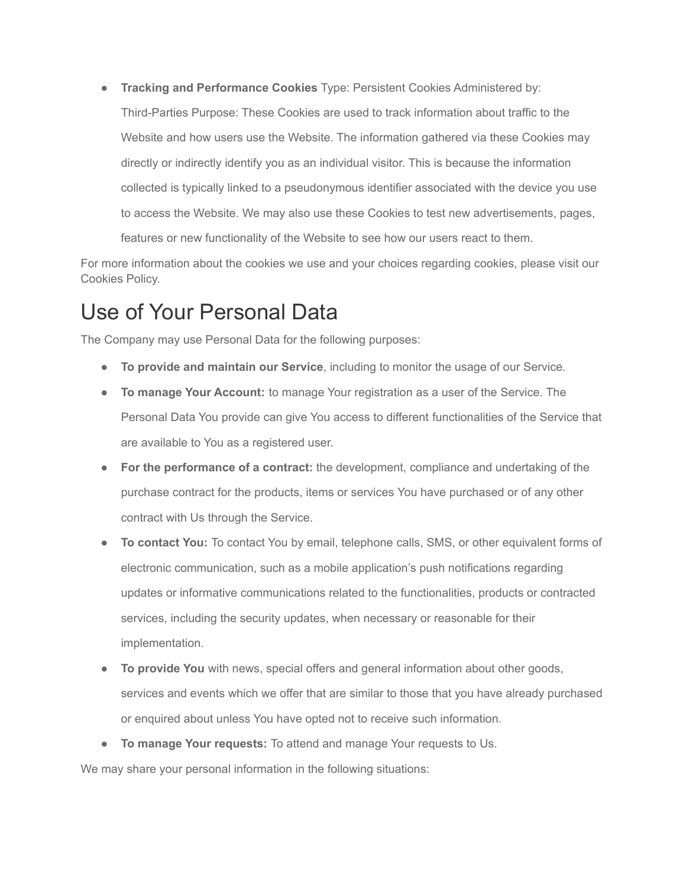**• Tracking and Performance Cookies** Type: Persistent Cookies Administered by:

Third-Parties Purpose: These Cookies are used to track information about traffic to the Website and how users use the Website. The information gathered via these Cookies may directly or indirectly identify you as an individual visitor. This is because the information collected is typically linked to a pseudonymous identifier associated with the device you use to access the Website. We may also use these Cookies to test new advertisements, pages, features or new functionality of the Website to see how our users react to them.

For more information about the cookies we use and your choices regarding cookies, please visit our Cookies Policy.

### Use of Your Personal Data

The Company may use Personal Data for the following purposes:

- **To provide and maintain our Service**, including to monitor the usage of our Service.
- **To manage Your Account:** to manage Your registration as a user of the Service. The Personal Data You provide can give You access to different functionalities of the Service that are available to You as a registered user.
- **For the performance of a contract:** the development, compliance and undertaking of the purchase contract for the products, items or services You have purchased or of any other contract with Us through the Service.
- **To contact You:** To contact You by email, telephone calls, SMS, or other equivalent forms of electronic communication, such as a mobile application's push notifications regarding updates or informative communications related to the functionalities, products or contracted services, including the security updates, when necessary or reasonable for their implementation.
- **To provide You** with news, special offers and general information about other goods, services and events which we offer that are similar to those that you have already purchased or enquired about unless You have opted not to receive such information.
- **To manage Your requests:** To attend and manage Your requests to Us.

We may share your personal information in the following situations: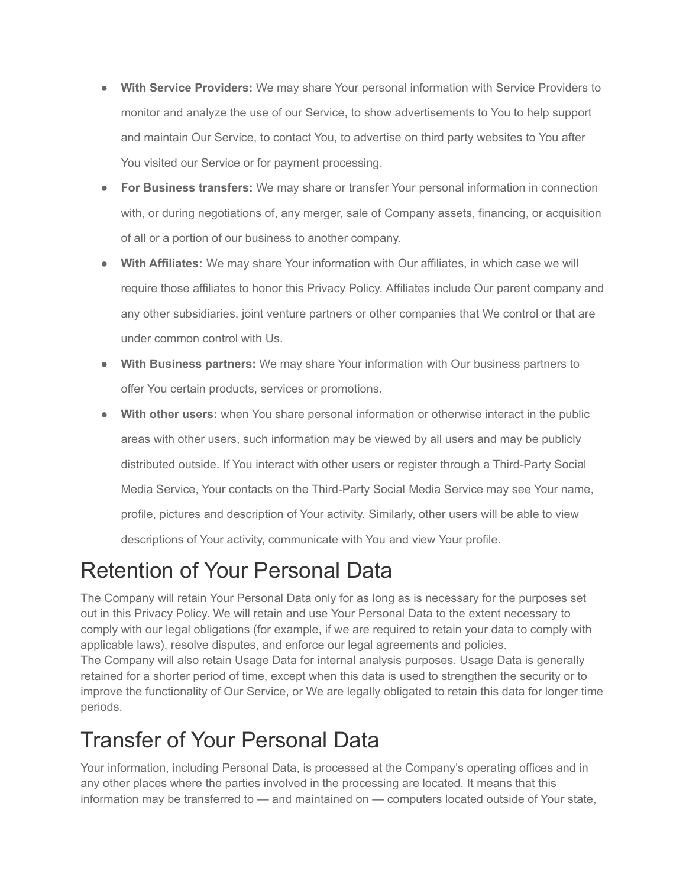- **With Service Providers:** We may share Your personal information with Service Providers to monitor and analyze the use of our Service, to show advertisements to You to help support and maintain Our Service, to contact You, to advertise on third party websites to You after You visited our Service or for payment processing.
- **For Business transfers:** We may share or transfer Your personal information in connection with, or during negotiations of, any merger, sale of Company assets, financing, or acquisition of all or a portion of our business to another company.
- **With Affiliates:** We may share Your information with Our affiliates, in which case we will require those affiliates to honor this Privacy Policy. Affiliates include Our parent company and any other subsidiaries, joint venture partners or other companies that We control or that are under common control with Us.
- **With Business partners:** We may share Your information with Our business partners to offer You certain products, services or promotions.
- **With other users:** when You share personal information or otherwise interact in the public areas with other users, such information may be viewed by all users and may be publicly distributed outside. If You interact with other users or register through a Third-Party Social Media Service, Your contacts on the Third-Party Social Media Service may see Your name, profile, pictures and description of Your activity. Similarly, other users will be able to view descriptions of Your activity, communicate with You and view Your profile.

### Retention of Your Personal Data

The Company will retain Your Personal Data only for as long as is necessary for the purposes set out in this Privacy Policy. We will retain and use Your Personal Data to the extent necessary to comply with our legal obligations (for example, if we are required to retain your data to comply with applicable laws), resolve disputes, and enforce our legal agreements and policies. The Company will also retain Usage Data for internal analysis purposes. Usage Data is generally retained for a shorter period of time, except when this data is used to strengthen the security or to improve the functionality of Our Service, or We are legally obligated to retain this data for longer time periods.

## Transfer of Your Personal Data

Your information, including Personal Data, is processed at the Company's operating offices and in any other places where the parties involved in the processing are located. It means that this information may be transferred to — and maintained on — computers located outside of Your state,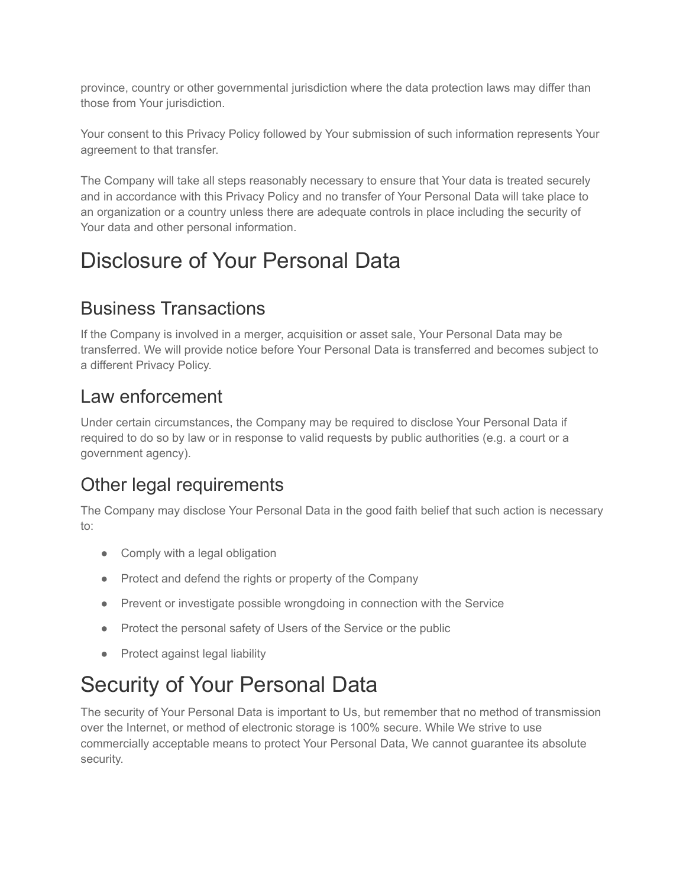province, country or other governmental jurisdiction where the data protection laws may differ than those from Your jurisdiction.

Your consent to this Privacy Policy followed by Your submission of such information represents Your agreement to that transfer.

The Company will take all steps reasonably necessary to ensure that Your data is treated securely and in accordance with this Privacy Policy and no transfer of Your Personal Data will take place to an organization or a country unless there are adequate controls in place including the security of Your data and other personal information.

### Disclosure of Your Personal Data

#### Business Transactions

If the Company is involved in a merger, acquisition or asset sale, Your Personal Data may be transferred. We will provide notice before Your Personal Data is transferred and becomes subject to a different Privacy Policy.

#### Law enforcement

Under certain circumstances, the Company may be required to disclose Your Personal Data if required to do so by law or in response to valid requests by public authorities (e.g. a court or a government agency).

#### Other legal requirements

The Company may disclose Your Personal Data in the good faith belief that such action is necessary to:

- Comply with a legal obligation
- Protect and defend the rights or property of the Company
- Prevent or investigate possible wrongdoing in connection with the Service
- Protect the personal safety of Users of the Service or the public
- Protect against legal liability

## Security of Your Personal Data

The security of Your Personal Data is important to Us, but remember that no method of transmission over the Internet, or method of electronic storage is 100% secure. While We strive to use commercially acceptable means to protect Your Personal Data, We cannot guarantee its absolute security.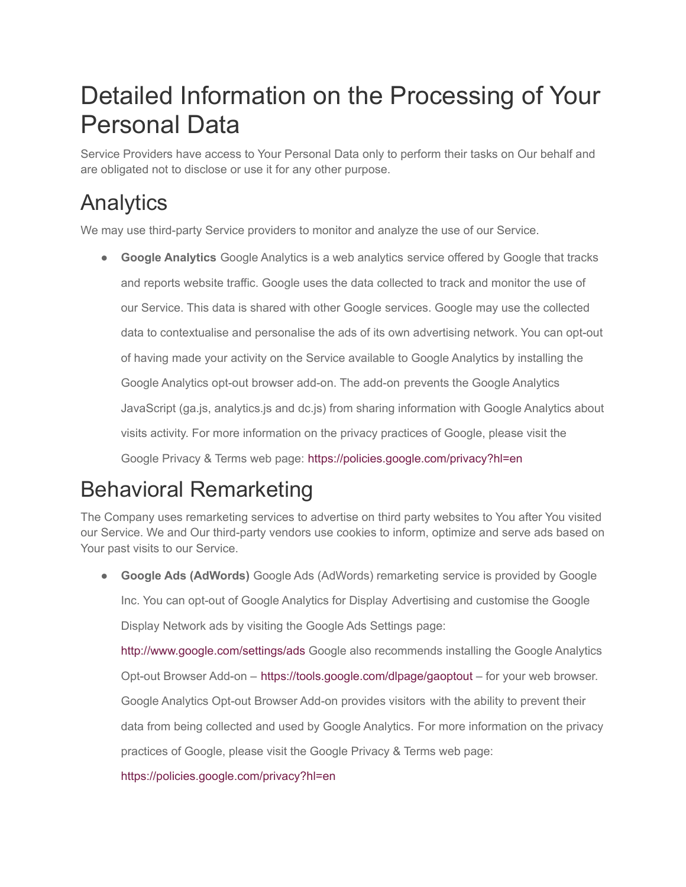# Detailed Information on the Processing of Your Personal Data

Service Providers have access to Your Personal Data only to perform their tasks on Our behalf and are obligated not to disclose or use it for any other purpose.

## Analytics

We may use third-party Service providers to monitor and analyze the use of our Service.

● **Google Analytics** Google Analytics is a web analytics service offered by Google that tracks and reports website traffic. Google uses the data collected to track and monitor the use of our Service. This data is shared with other Google services. Google may use the collected data to contextualise and personalise the ads of its own advertising network. You can opt-out of having made your activity on the Service available to Google Analytics by installing the Google Analytics opt-out browser add-on. The add-on prevents the Google Analytics JavaScript (ga.js, analytics.js and dc.js) from sharing information with Google Analytics about visits activity. For more information on the privacy practices of Google, please visit the Google Privacy & Terms web page: <https://policies.google.com/privacy?hl=en>

## Behavioral Remarketing

The Company uses remarketing services to advertise on third party websites to You after You visited our Service. We and Our third-party vendors use cookies to inform, optimize and serve ads based on Your past visits to our Service.

● **Google Ads (AdWords)** Google Ads (AdWords) remarketing service is provided by Google Inc. You can opt-out of Google Analytics for Display Advertising and customise the Google Display Network ads by visiting the Google Ads Settings page: <http://www.google.com/settings/ads> Google also recommends installing the Google Analytics Opt-out Browser Add-on – <https://tools.google.com/dlpage/gaoptout> – for your web browser. Google Analytics Opt-out Browser Add-on provides visitors with the ability to prevent their data from being collected and used by Google Analytics. For more information on the privacy practices of Google, please visit the Google Privacy & Terms web page: <https://policies.google.com/privacy?hl=en>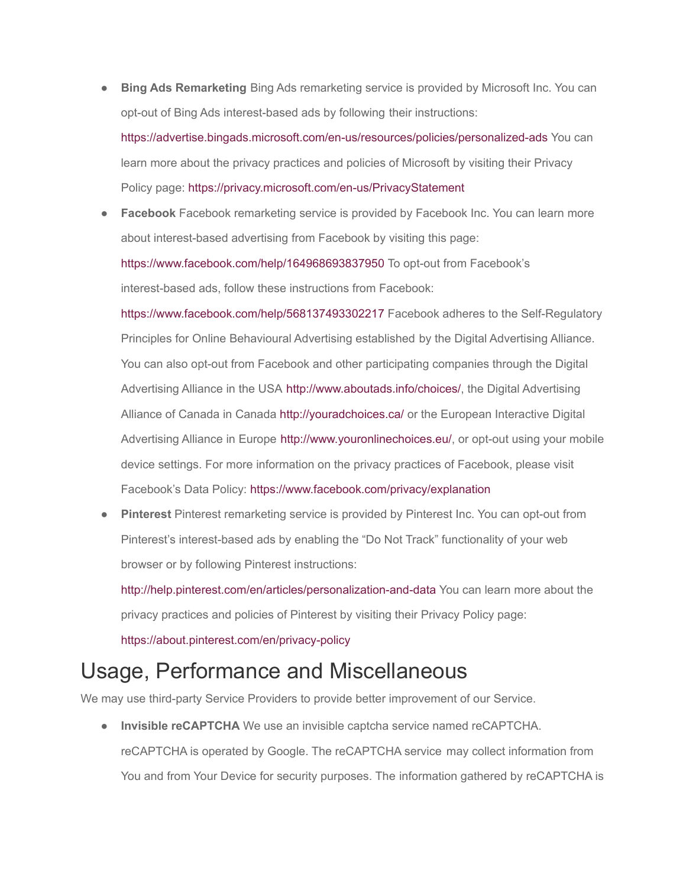● **Bing Ads Remarketing** Bing Ads remarketing service is provided by Microsoft Inc. You can opt-out of Bing Ads interest-based ads by following their instructions:

<https://advertise.bingads.microsoft.com/en-us/resources/policies/personalized-ads> You can learn more about the privacy practices and policies of Microsoft by visiting their Privacy Policy page: <https://privacy.microsoft.com/en-us/PrivacyStatement>

**Facebook** Facebook remarketing service is provided by Facebook Inc. You can learn more about interest-based advertising from Facebook by visiting this page: <https://www.facebook.com/help/164968693837950> To opt-out from Facebook's

interest-based ads, follow these instructions from Facebook:

<https://www.facebook.com/help/568137493302217> Facebook adheres to the Self-Regulatory Principles for Online Behavioural Advertising established by the Digital Advertising Alliance. You can also opt-out from Facebook and other participating companies through the Digital Advertising Alliance in the USA <http://www.aboutads.info/choices/>, the Digital Advertising Alliance of Canada in Canada <http://youradchoices.ca/> or the European Interactive Digital Advertising Alliance in Europe <http://www.youronlinechoices.eu/>, or opt-out using your mobile device settings. For more information on the privacy practices of Facebook, please visit Facebook's Data Policy: <https://www.facebook.com/privacy/explanation>

● **Pinterest** Pinterest remarketing service is provided by Pinterest Inc. You can opt-out from Pinterest's interest-based ads by enabling the "Do Not Track" functionality of your web browser or by following Pinterest instructions:

<http://help.pinterest.com/en/articles/personalization-and-data> You can learn more about the privacy practices and policies of Pinterest by visiting their Privacy Policy page:

<https://about.pinterest.com/en/privacy-policy>

#### Usage, Performance and Miscellaneous

We may use third-party Service Providers to provide better improvement of our Service.

● **Invisible reCAPTCHA** We use an invisible captcha service named reCAPTCHA. reCAPTCHA is operated by Google. The reCAPTCHA service may collect information from You and from Your Device for security purposes. The information gathered by reCAPTCHA is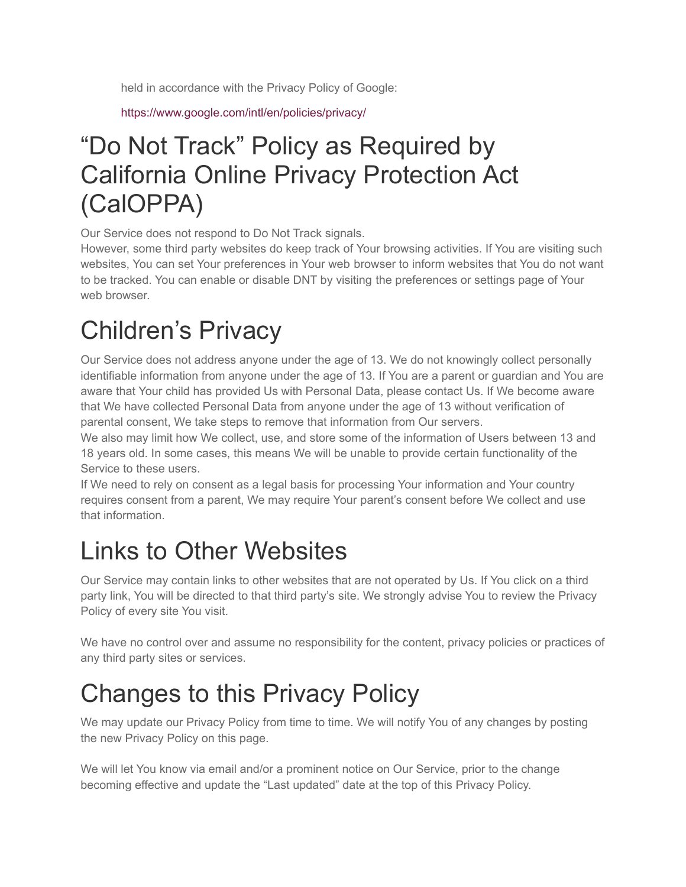held in accordance with the Privacy Policy of Google:

<https://www.google.com/intl/en/policies/privacy/>

## "Do Not Track" Policy as Required by California Online Privacy Protection Act (CalOPPA)

Our Service does not respond to Do Not Track signals.

However, some third party websites do keep track of Your browsing activities. If You are visiting such websites, You can set Your preferences in Your web browser to inform websites that You do not want to be tracked. You can enable or disable DNT by visiting the preferences or settings page of Your web browser.

# Children's Privacy

Our Service does not address anyone under the age of 13. We do not knowingly collect personally identifiable information from anyone under the age of 13. If You are a parent or guardian and You are aware that Your child has provided Us with Personal Data, please contact Us. If We become aware that We have collected Personal Data from anyone under the age of 13 without verification of parental consent, We take steps to remove that information from Our servers.

We also may limit how We collect, use, and store some of the information of Users between 13 and 18 years old. In some cases, this means We will be unable to provide certain functionality of the Service to these users.

If We need to rely on consent as a legal basis for processing Your information and Your country requires consent from a parent, We may require Your parent's consent before We collect and use that information.

# Links to Other Websites

Our Service may contain links to other websites that are not operated by Us. If You click on a third party link, You will be directed to that third party's site. We strongly advise You to review the Privacy Policy of every site You visit.

We have no control over and assume no responsibility for the content, privacy policies or practices of any third party sites or services.

# Changes to this Privacy Policy

We may update our Privacy Policy from time to time. We will notify You of any changes by posting the new Privacy Policy on this page.

We will let You know via email and/or a prominent notice on Our Service, prior to the change becoming effective and update the "Last updated" date at the top of this Privacy Policy.